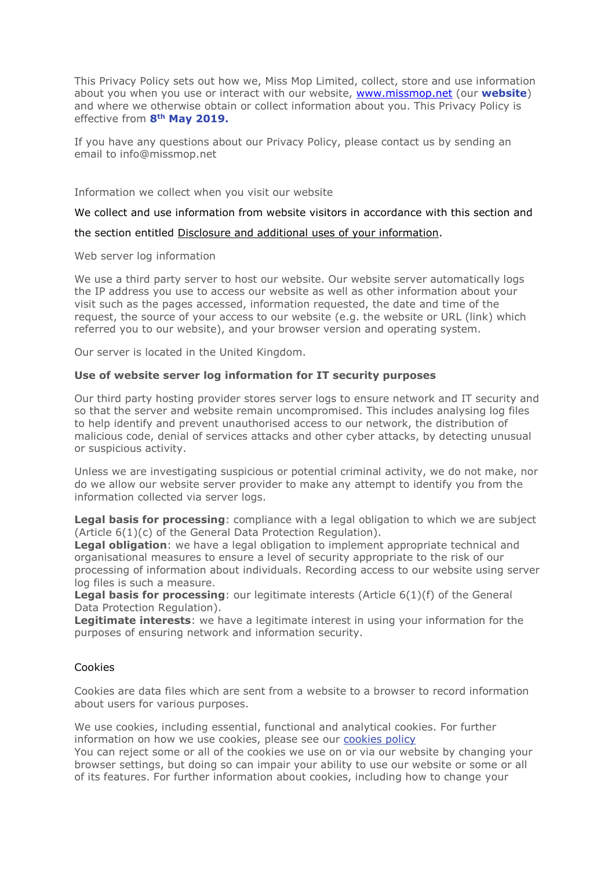This Privacy Policy sets out how we, Miss Mop Limited, collect, store and use information about you when you use or interact with our website, [www.missmop.net](http://www.missmop.net/) (our **website**) and where we otherwise obtain or collect information about you. This Privacy Policy is effective from **8th May 2019.**

If you have any questions about our Privacy Policy, please contact us by sending an email to info@missmop.net

Information we collect when you visit our website

We collect and use information from website visitors in accordance with this section and

### the section entitled Disclosure and additional uses of your information.

Web server log information

We use a third party server to host our website. Our website server automatically logs the IP address you use to access our website as well as other information about your visit such as the pages accessed, information requested, the date and time of the request, the source of your access to our website (e.g. the website or URL (link) which referred you to our website), and your browser version and operating system.

Our server is located in the United Kingdom.

### **Use of website server log information for IT security purposes**

Our third party hosting provider stores server logs to ensure network and IT security and so that the server and website remain uncompromised. This includes analysing log files to help identify and prevent unauthorised access to our network, the distribution of malicious code, denial of services attacks and other cyber attacks, by detecting unusual or suspicious activity.

Unless we are investigating suspicious or potential criminal activity, we do not make, nor do we allow our website server provider to make any attempt to identify you from the information collected via server logs.

**Legal basis for processing**: compliance with a legal obligation to which we are subject (Article 6(1)(c) of the General Data Protection Regulation).

**Legal obligation**: we have a legal obligation to implement appropriate technical and organisational measures to ensure a level of security appropriate to the risk of our processing of information about individuals. Recording access to our website using server log files is such a measure.

**Legal basis for processing**: our legitimate interests (Article 6(1)(f) of the General Data Protection Regulation).

**Legitimate interests**: we have a legitimate interest in using your information for the purposes of ensuring network and information security.

## Cookies

Cookies are data files which are sent from a website to a browser to record information about users for various purposes.

We use cookies, including essential, functional and analytical cookies. For further information on how we use cookies, please see our [cookies](https://gdprprivacypolicy.org/cookies-policy/) policy

You can reject some or all of the cookies we use on or via our website by changing your browser settings, but doing so can impair your ability to use our website or some or all of its features. For further information about cookies, including how to change your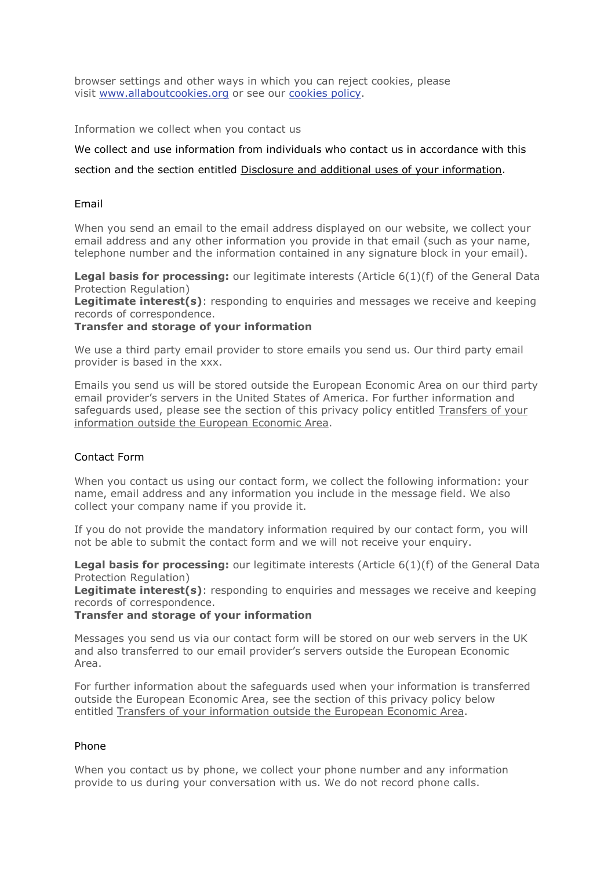browser settings and other ways in which you can reject cookies, please visit [www.allaboutcookies.org](http://www.allaboutcookies.org/) or see our [cookies](https://gdprprivacypolicy.org/cookies-policy/) policy.

Information we collect when you contact us

We collect and use information from individuals who contact us in accordance with this section and the section entitled Disclosure and additional uses of your information.

# Email

When you send an email to the email address displayed on our website, we collect your email address and any other information you provide in that email (such as your name, telephone number and the information contained in any signature block in your email).

**Legal basis for processing:** our legitimate interests (Article 6(1)(f) of the General Data Protection Regulation)

**Legitimate interest(s)**: responding to enquiries and messages we receive and keeping records of correspondence.

## **Transfer and storage of your information**

We use a third party email provider to store emails you send us. Our third party email provider is based in the xxx.

Emails you send us will be stored outside the European Economic Area on our third party email provider's servers in the United States of America. For further information and safeguards used, please see the section of this privacy policy entitled Transfers of your information outside the European Economic Area.

## Contact Form

When you contact us using our contact form, we collect the following information: your name, email address and any information you include in the message field. We also collect your company name if you provide it.

If you do not provide the mandatory information required by our contact form, you will not be able to submit the contact form and we will not receive your enquiry.

**Legal basis for processing:** our legitimate interests (Article 6(1)(f) of the General Data Protection Regulation)

**Legitimate interest(s)**: responding to enquiries and messages we receive and keeping records of correspondence.

# **Transfer and storage of your information**

Messages you send us via our contact form will be stored on our web servers in the UK and also transferred to our email provider's servers outside the European Economic Area.

For further information about the safeguards used when your information is transferred outside the European Economic Area, see the section of this privacy policy below entitled Transfers of your information outside the European Economic Area.

# Phone

When you contact us by phone, we collect your phone number and any information provide to us during your conversation with us. We do not record phone calls.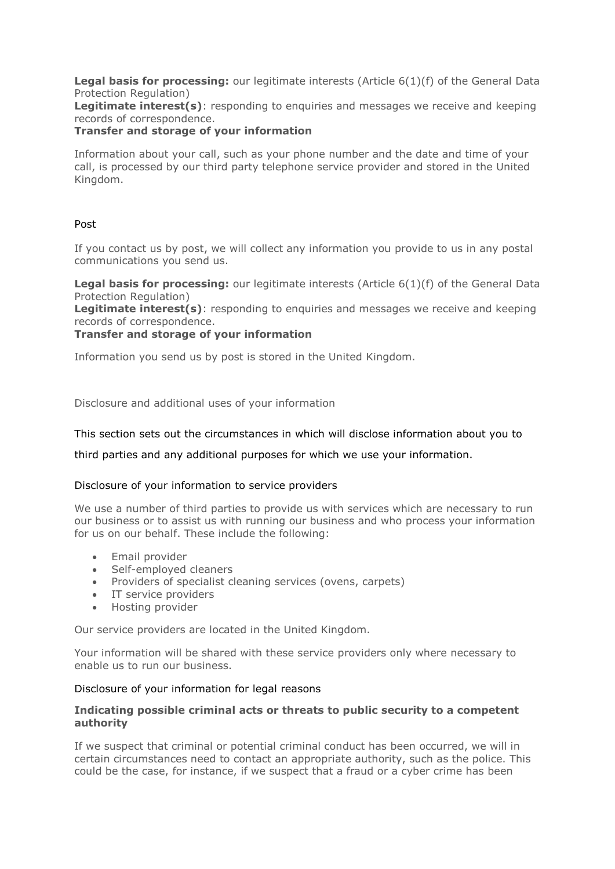**Legal basis for processing:** our legitimate interests (Article 6(1)(f) of the General Data Protection Regulation)

**Legitimate interest(s)**: responding to enquiries and messages we receive and keeping records of correspondence.

## **Transfer and storage of your information**

Information about your call, such as your phone number and the date and time of your call, is processed by our third party telephone service provider and stored in the United Kingdom.

## Post

If you contact us by post, we will collect any information you provide to us in any postal communications you send us.

**Legal basis for processing:** our legitimate interests (Article 6(1)(f) of the General Data Protection Regulation)

**Legitimate interest(s)**: responding to enquiries and messages we receive and keeping records of correspondence.

# **Transfer and storage of your information**

Information you send us by post is stored in the United Kingdom.

Disclosure and additional uses of your information

### This section sets out the circumstances in which will disclose information about you to

third parties and any additional purposes for which we use your information.

#### Disclosure of your information to service providers

We use a number of third parties to provide us with services which are necessary to run our business or to assist us with running our business and who process your information for us on our behalf. These include the following:

- Email provider
- Self-employed cleaners
- Providers of specialist cleaning services (ovens, carpets)
- IT service providers
- Hosting provider

Our service providers are located in the United Kingdom.

Your information will be shared with these service providers only where necessary to enable us to run our business.

#### Disclosure of your information for legal reasons

## **Indicating possible criminal acts or threats to public security to a competent authority**

If we suspect that criminal or potential criminal conduct has been occurred, we will in certain circumstances need to contact an appropriate authority, such as the police. This could be the case, for instance, if we suspect that a fraud or a cyber crime has been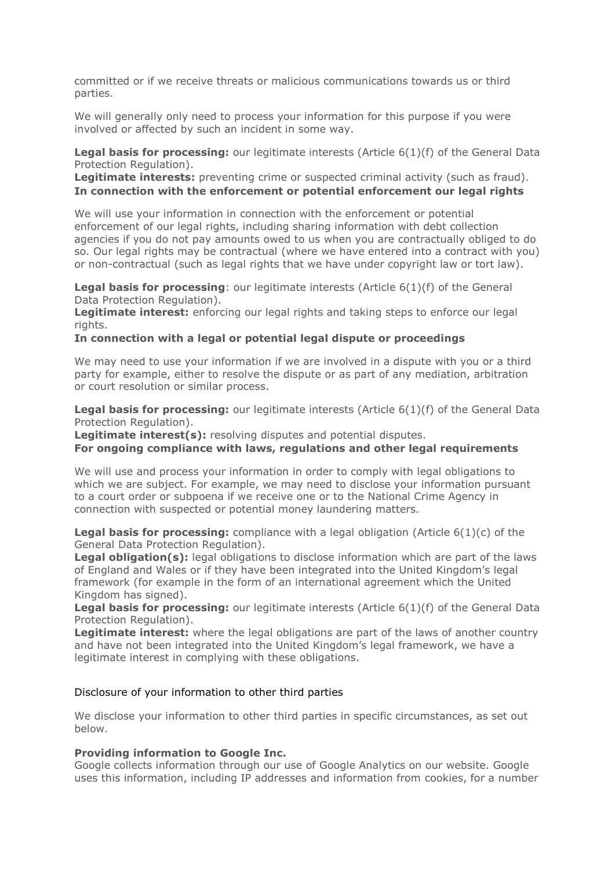committed or if we receive threats or malicious communications towards us or third parties.

We will generally only need to process your information for this purpose if you were involved or affected by such an incident in some way.

**Legal basis for processing:** our legitimate interests (Article 6(1)(f) of the General Data Protection Regulation).

**Legitimate interests:** preventing crime or suspected criminal activity (such as fraud). **In connection with the enforcement or potential enforcement our legal rights**

We will use your information in connection with the enforcement or potential enforcement of our legal rights, including sharing information with debt collection agencies if you do not pay amounts owed to us when you are contractually obliged to do so. Our legal rights may be contractual (where we have entered into a contract with you) or non-contractual (such as legal rights that we have under copyright law or tort law).

**Legal basis for processing**: our legitimate interests (Article 6(1)(f) of the General Data Protection Regulation).

**Legitimate interest:** enforcing our legal rights and taking steps to enforce our legal rights.

#### **In connection with a legal or potential legal dispute or proceedings**

We may need to use your information if we are involved in a dispute with you or a third party for example, either to resolve the dispute or as part of any mediation, arbitration or court resolution or similar process.

**Legal basis for processing:** our legitimate interests (Article 6(1)(f) of the General Data Protection Regulation).

**Legitimate interest(s):** resolving disputes and potential disputes.

### **For ongoing compliance with laws, regulations and other legal requirements**

We will use and process your information in order to comply with legal obligations to which we are subject. For example, we may need to disclose your information pursuant to a court order or subpoena if we receive one or to the National Crime Agency in connection with suspected or potential money laundering matters.

**Legal basis for processing:** compliance with a legal obligation (Article 6(1)(c) of the General Data Protection Regulation).

**Legal obligation(s):** legal obligations to disclose information which are part of the laws of England and Wales or if they have been integrated into the United Kingdom's legal framework (for example in the form of an international agreement which the United Kingdom has signed).

**Legal basis for processing:** our legitimate interests (Article 6(1)(f) of the General Data Protection Regulation).

**Legitimate interest:** where the legal obligations are part of the laws of another country and have not been integrated into the United Kingdom's legal framework, we have a legitimate interest in complying with these obligations.

#### Disclosure of your information to other third parties

We disclose your information to other third parties in specific circumstances, as set out below.

#### **Providing information to Google Inc.**

Google collects information through our use of Google Analytics on our website. Google uses this information, including IP addresses and information from cookies, for a number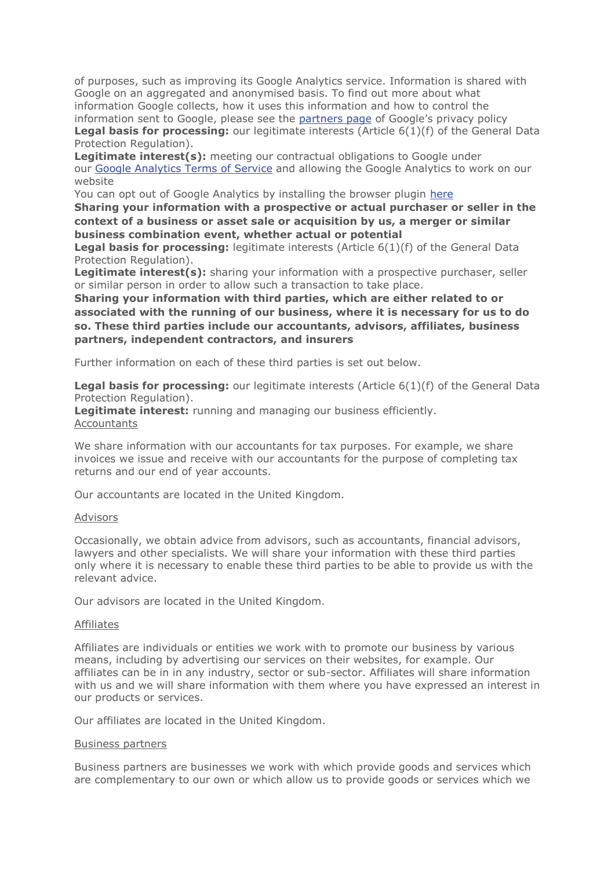of purposes, such as improving its Google Analytics service. Information is shared with Google on an aggregated and anonymised basis. To find out more about what information Google collects, how it uses this information and how to control the information sent to Google, please see the [partners](https://www.google.com/policies/privacy/partners/) page of Google's privacy policy **Legal basis for processing:** our legitimate interests (Article 6(1)(f) of the General Data Protection Regulation).

**Legitimate interest(s):** meeting our contractual obligations to Google under our Google [Analytics](https://www.google.com/analytics/terms/us.html) Terms of Service and allowing the Google Analytics to work on our website

You can opt out of Google Analytics by installing the browser plugin [here](https://tools.google.com/dlpage/gaoptout)

**Sharing your information with a prospective or actual purchaser or seller in the context of a business or asset sale or acquisition by us, a merger or similar business combination event, whether actual or potential**

**Legal basis for processing:** legitimate interests (Article 6(1)(f) of the General Data Protection Regulation).

**Legitimate interest(s):** sharing your information with a prospective purchaser, seller or similar person in order to allow such a transaction to take place.

**Sharing your information with third parties, which are either related to or associated with the running of our business, where it is necessary for us to do so. These third parties include our accountants, advisors, affiliates, business partners, independent contractors, and insurers**

Further information on each of these third parties is set out below.

**Legal basis for processing:** our legitimate interests (Article 6(1)(f) of the General Data Protection Regulation).

**Legitimate interest:** running and managing our business efficiently. Accountants

We share information with our accountants for tax purposes. For example, we share invoices we issue and receive with our accountants for the purpose of completing tax returns and our end of year accounts.

Our accountants are located in the United Kingdom.

#### Advisors

Occasionally, we obtain advice from advisors, such as accountants, financial advisors, lawyers and other specialists. We will share your information with these third parties only where it is necessary to enable these third parties to be able to provide us with the relevant advice.

Our advisors are located in the United Kingdom.

#### Affiliates

Affiliates are individuals or entities we work with to promote our business by various means, including by advertising our services on their websites, for example. Our affiliates can be in in any industry, sector or sub-sector. Affiliates will share information with us and we will share information with them where you have expressed an interest in our products or services.

Our affiliates are located in the United Kingdom.

#### Business partners

Business partners are businesses we work with which provide goods and services which are complementary to our own or which allow us to provide goods or services which we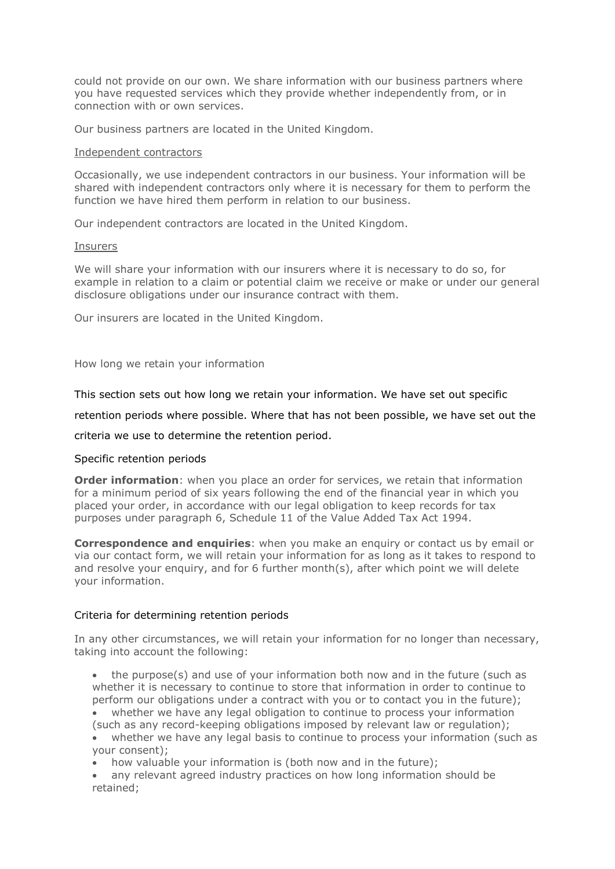could not provide on our own. We share information with our business partners where you have requested services which they provide whether independently from, or in connection with or own services.

Our business partners are located in the United Kingdom.

### Independent contractors

Occasionally, we use independent contractors in our business. Your information will be shared with independent contractors only where it is necessary for them to perform the function we have hired them perform in relation to our business.

Our independent contractors are located in the United Kingdom.

### **Insurers**

We will share your information with our insurers where it is necessary to do so, for example in relation to a claim or potential claim we receive or make or under our general disclosure obligations under our insurance contract with them.

Our insurers are located in the United Kingdom.

How long we retain your information

This section sets out how long we retain your information. We have set out specific

retention periods where possible. Where that has not been possible, we have set out the

criteria we use to determine the retention period.

## Specific retention periods

**Order information**: when you place an order for services, we retain that information for a minimum period of six years following the end of the financial year in which you placed your order, in accordance with our legal obligation to keep records for tax purposes under paragraph 6, Schedule 11 of the Value Added Tax Act 1994.

**Correspondence and enquiries**: when you make an enquiry or contact us by email or via our contact form, we will retain your information for as long as it takes to respond to and resolve your enquiry, and for 6 further month(s), after which point we will delete your information.

## Criteria for determining retention periods

In any other circumstances, we will retain your information for no longer than necessary, taking into account the following:

• the purpose(s) and use of your information both now and in the future (such as whether it is necessary to continue to store that information in order to continue to perform our obligations under a contract with you or to contact you in the future);

• whether we have any legal obligation to continue to process your information (such as any record-keeping obligations imposed by relevant law or regulation);

• whether we have any legal basis to continue to process your information (such as your consent);

• how valuable your information is (both now and in the future);

• any relevant agreed industry practices on how long information should be retained;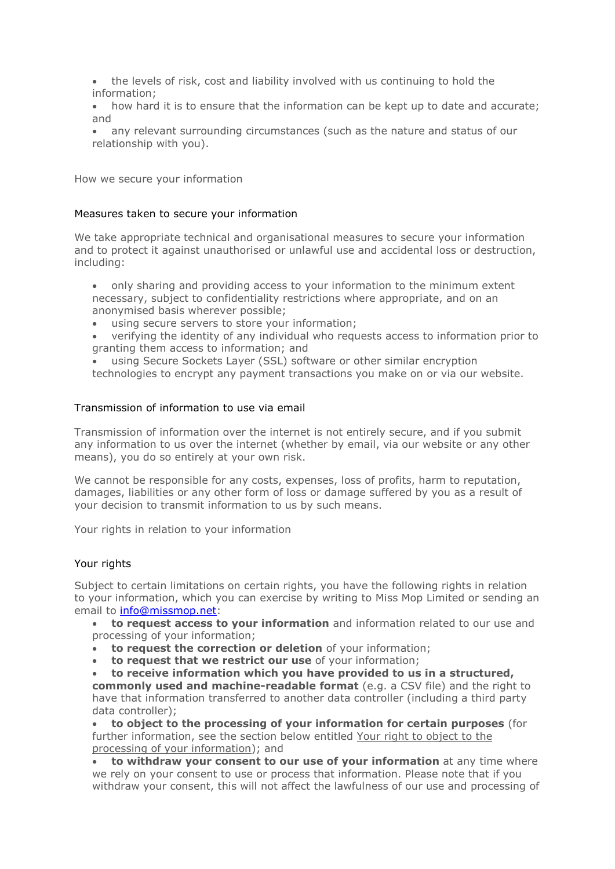- the levels of risk, cost and liability involved with us continuing to hold the information;
- how hard it is to ensure that the information can be kept up to date and accurate; and
- any relevant surrounding circumstances (such as the nature and status of our relationship with you).

How we secure your information

# Measures taken to secure your information

We take appropriate technical and organisational measures to secure your information and to protect it against unauthorised or unlawful use and accidental loss or destruction, including:

- only sharing and providing access to your information to the minimum extent necessary, subject to confidentiality restrictions where appropriate, and on an anonymised basis wherever possible;
- using secure servers to store your information:
- verifying the identity of any individual who requests access to information prior to granting them access to information; and
- using Secure Sockets Layer (SSL) software or other similar encryption technologies to encrypt any payment transactions you make on or via our website.

# Transmission of information to use via email

Transmission of information over the internet is not entirely secure, and if you submit any information to us over the internet (whether by email, via our website or any other means), you do so entirely at your own risk.

We cannot be responsible for any costs, expenses, loss of profits, harm to reputation, damages, liabilities or any other form of loss or damage suffered by you as a result of your decision to transmit information to us by such means.

Your rights in relation to your information

## Your rights

Subject to certain limitations on certain rights, you have the following rights in relation to your information, which you can exercise by writing to Miss Mop Limited or sending an email to [info@missmop.net:](mailto:info@missmop.net)

- **to request access to your information** and information related to our use and processing of your information;
- **to request the correction or deletion** of your information;
- **to request that we restrict our use** of your information;

• **to receive information which you have provided to us in a structured, commonly used and machine-readable format** (e.g. a CSV file) and the right to have that information transferred to another data controller (including a third party data controller);

• **to object to the processing of your information for certain purposes** (for further information, see the section below entitled Your right to object to the processing of your information); and

• **to withdraw your consent to our use of your information** at any time where we rely on your consent to use or process that information. Please note that if you withdraw your consent, this will not affect the lawfulness of our use and processing of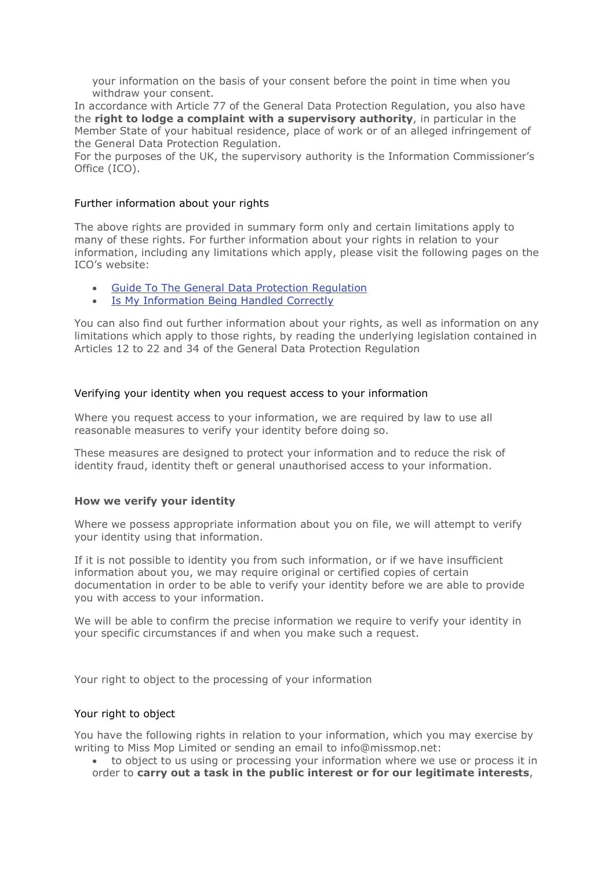your information on the basis of your consent before the point in time when you withdraw your consent.

In accordance with Article 77 of the General Data Protection Regulation, you also have the **right to lodge a complaint with a supervisory authority**, in particular in the Member State of your habitual residence, place of work or of an alleged infringement of the General Data Protection Regulation.

For the purposes of the UK, the supervisory authority is the Information Commissioner's Office (ICO).

### Further information about your rights

The above rights are provided in summary form only and certain limitations apply to many of these rights. For further information about your rights in relation to your information, including any limitations which apply, please visit the following pages on the ICO's website:

- Guide To The General Data Protection [Regulation](https://ico.org.uk/for-organisations/guide-to-the-general-data-protection-regulation-gdpr/individual-rights/)
- Is My [Information](https://ico.org.uk/for-the-public/is-my-information-being-handled-correctly/) Being Handled Correctly

You can also find out further information about your rights, as well as information on any limitations which apply to those rights, by reading the underlying legislation contained in Articles 12 to 22 and 34 of the General Data Protection Regulation

## Verifying your identity when you request access to your information

Where you request access to your information, we are required by law to use all reasonable measures to verify your identity before doing so.

These measures are designed to protect your information and to reduce the risk of identity fraud, identity theft or general unauthorised access to your information.

## **How we verify your identity**

Where we possess appropriate information about you on file, we will attempt to verify your identity using that information.

If it is not possible to identity you from such information, or if we have insufficient information about you, we may require original or certified copies of certain documentation in order to be able to verify your identity before we are able to provide you with access to your information.

We will be able to confirm the precise information we require to verify your identity in your specific circumstances if and when you make such a request.

Your right to object to the processing of your information

#### Your right to object

You have the following rights in relation to your information, which you may exercise by writing to Miss Mop Limited or sending an email to info@missmop.net:

• to object to us using or processing your information where we use or process it in order to **carry out a task in the public interest or for our legitimate interests**,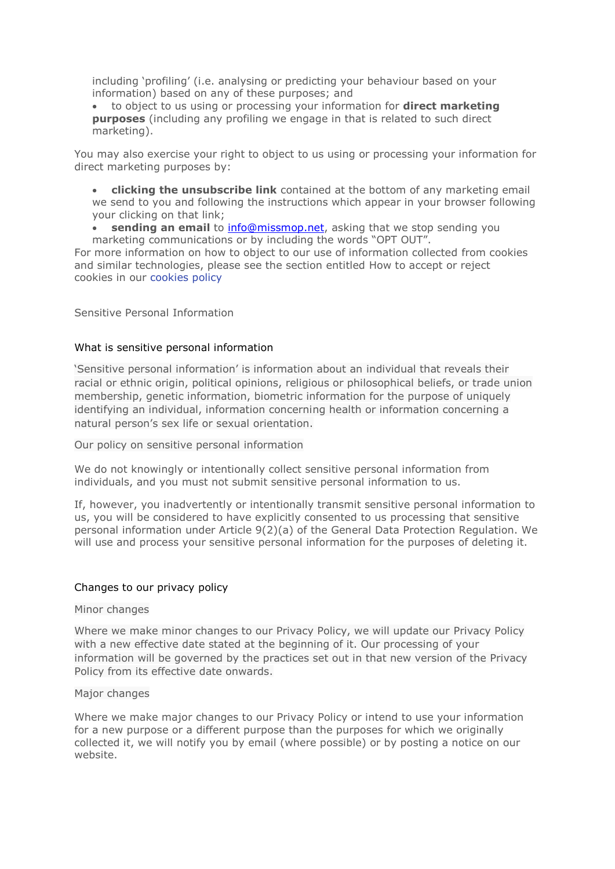including 'profiling' (i.e. analysing or predicting your behaviour based on your information) based on any of these purposes; and

• to object to us using or processing your information for **direct marketing purposes** (including any profiling we engage in that is related to such direct marketing).

You may also exercise your right to object to us using or processing your information for direct marketing purposes by:

• **clicking the unsubscribe link** contained at the bottom of any marketing email we send to you and following the instructions which appear in your browser following your clicking on that link;

• **sending an email** to [info@missmop.net,](mailto:info@missmop.net) asking that we stop sending you

marketing communications or by including the words "OPT OUT". For more information on how to object to our use of information collected from cookies and similar technologies, please see the section entitled How to accept or reject cookies in our cookies policy

Sensitive Personal Information

## What is sensitive personal information

'Sensitive personal information' is information about an individual that reveals their racial or ethnic origin, political opinions, religious or philosophical beliefs, or trade union membership, genetic information, biometric information for the purpose of uniquely identifying an individual, information concerning health or information concerning a natural person's sex life or sexual orientation.

Our policy on sensitive personal information

We do not knowingly or intentionally collect sensitive personal information from individuals, and you must not submit sensitive personal information to us.

If, however, you inadvertently or intentionally transmit sensitive personal information to us, you will be considered to have explicitly consented to us processing that sensitive personal information under Article 9(2)(a) of the General Data Protection Regulation. We will use and process your sensitive personal information for the purposes of deleting it.

## Changes to our privacy policy

#### Minor changes

Where we make minor changes to our Privacy Policy, we will update our Privacy Policy with a new effective date stated at the beginning of it. Our processing of your information will be governed by the practices set out in that new version of the Privacy Policy from its effective date onwards.

#### Major changes

Where we make major changes to our Privacy Policy or intend to use your information for a new purpose or a different purpose than the purposes for which we originally collected it, we will notify you by email (where possible) or by posting a notice on our website.